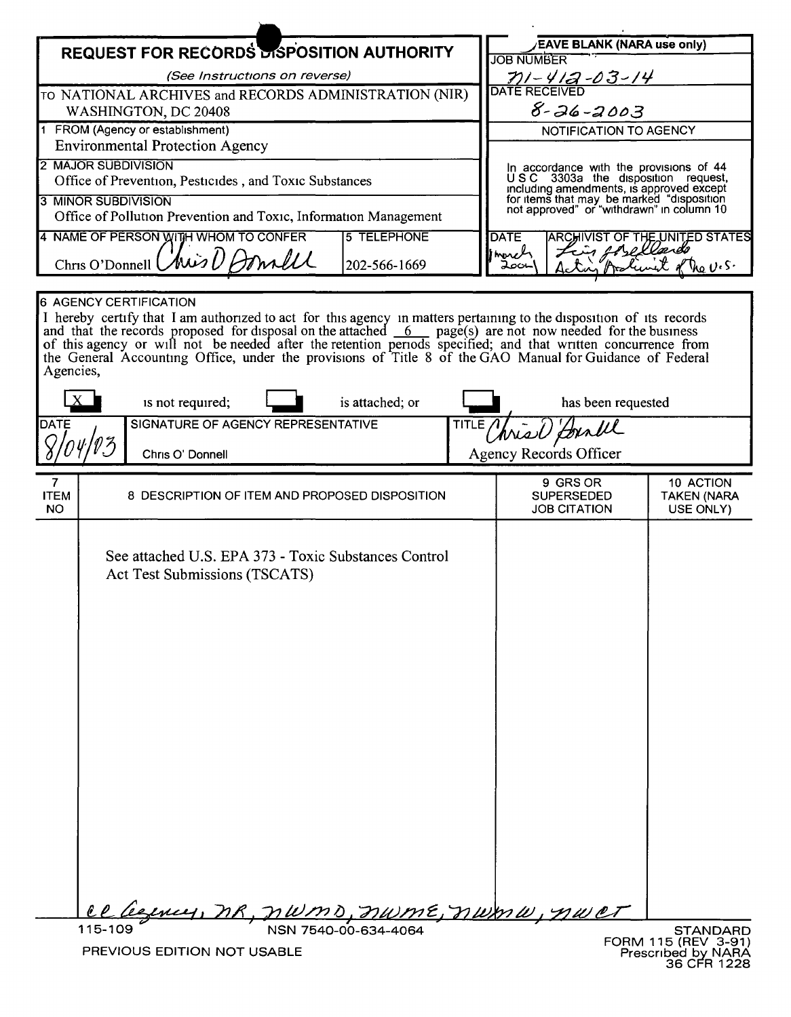| <b>REQUEST FOR RECORDS DISPOSITION AUTHORITY</b>                                                                                                                                                                                                                                                                                                                                                                                                                                                              |                                                       |                               |  |                                                                                                      | <b>EAVE BLANK (NARA use only)</b><br><b>JOB NUMBER</b> |                                                                                                                                    |                                                      |                                              |  |
|---------------------------------------------------------------------------------------------------------------------------------------------------------------------------------------------------------------------------------------------------------------------------------------------------------------------------------------------------------------------------------------------------------------------------------------------------------------------------------------------------------------|-------------------------------------------------------|-------------------------------|--|------------------------------------------------------------------------------------------------------|--------------------------------------------------------|------------------------------------------------------------------------------------------------------------------------------------|------------------------------------------------------|----------------------------------------------|--|
| (See Instructions on reverse)                                                                                                                                                                                                                                                                                                                                                                                                                                                                                 |                                                       |                               |  |                                                                                                      |                                                        |                                                                                                                                    |                                                      |                                              |  |
| TO NATIONAL ARCHIVES and RECORDS ADMINISTRATION (NIR)                                                                                                                                                                                                                                                                                                                                                                                                                                                         |                                                       |                               |  |                                                                                                      |                                                        | <u>- 1910 - 1121 - 1230 14</u><br>DATE RECEIVED                                                                                    |                                                      |                                              |  |
| WASHINGTON, DC 20408                                                                                                                                                                                                                                                                                                                                                                                                                                                                                          |                                                       |                               |  |                                                                                                      |                                                        | $8 - 26 - 2003$                                                                                                                    |                                                      |                                              |  |
| 1 FROM (Agency or establishment)                                                                                                                                                                                                                                                                                                                                                                                                                                                                              |                                                       |                               |  |                                                                                                      |                                                        | NOTIFICATION TO AGENCY                                                                                                             |                                                      |                                              |  |
| <b>Environmental Protection Agency</b>                                                                                                                                                                                                                                                                                                                                                                                                                                                                        |                                                       |                               |  |                                                                                                      |                                                        |                                                                                                                                    |                                                      |                                              |  |
| 2 MAJOR SUBDIVISION                                                                                                                                                                                                                                                                                                                                                                                                                                                                                           |                                                       |                               |  |                                                                                                      |                                                        | In accordance with the provisions of 44<br>USC 3303a the disposition request,                                                      |                                                      |                                              |  |
| Office of Prevention, Pesticides, and Toxic Substances                                                                                                                                                                                                                                                                                                                                                                                                                                                        |                                                       |                               |  |                                                                                                      |                                                        | including amendments, is approved except<br>for items that may be marked "disposition<br>not approved" or "withdrawn" in column 10 |                                                      |                                              |  |
| <b>3 MINOR SUBDIVISION</b><br>Office of Pollution Prevention and Toxic, Information Management                                                                                                                                                                                                                                                                                                                                                                                                                |                                                       |                               |  |                                                                                                      |                                                        |                                                                                                                                    |                                                      |                                              |  |
| 4 NAME OF PERSON WITH WHOM TO CONFER<br><b>5 TELEPHONE</b>                                                                                                                                                                                                                                                                                                                                                                                                                                                    |                                                       |                               |  |                                                                                                      |                                                        | <b>ARCHIVIST OF THE UNITED STATES</b><br><b>DATE</b>                                                                               |                                                      |                                              |  |
| morel                                                                                                                                                                                                                                                                                                                                                                                                                                                                                                         |                                                       |                               |  |                                                                                                      |                                                        |                                                                                                                                    | Lin forellands                                       |                                              |  |
| Chris O'Donnell Chris U Aonall<br>202-566-1669<br>⊣ەم⊊                                                                                                                                                                                                                                                                                                                                                                                                                                                        |                                                       |                               |  |                                                                                                      |                                                        |                                                                                                                                    |                                                      | $V_{12}U_{1}S$                               |  |
|                                                                                                                                                                                                                                                                                                                                                                                                                                                                                                               |                                                       |                               |  |                                                                                                      |                                                        |                                                                                                                                    |                                                      |                                              |  |
| <b>6 AGENCY CERTIFICATION</b><br>I hereby certify that I am authorized to act for this agency in matters pertaining to the disposition of its records<br>and that the records proposed for disposal on the attached $6$ page(s) are not now needed for the business<br>of this agency or will not be needed after the retention periods specified; and that written concurrence from<br>the General Accounting Office, under the provisions of Title 8 of the GAO Manual for Guidance of Federal<br>Agencies, |                                                       |                               |  |                                                                                                      |                                                        |                                                                                                                                    |                                                      |                                              |  |
| is not required;<br>is attached; or                                                                                                                                                                                                                                                                                                                                                                                                                                                                           |                                                       |                               |  |                                                                                                      |                                                        |                                                                                                                                    | has been requested                                   |                                              |  |
|                                                                                                                                                                                                                                                                                                                                                                                                                                                                                                               | SIGNATURE OF AGENCY REPRESENTATIVE<br>DATE<br>TITLE / |                               |  |                                                                                                      |                                                        |                                                                                                                                    |                                                      |                                              |  |
|                                                                                                                                                                                                                                                                                                                                                                                                                                                                                                               |                                                       | Chris O' Donnell              |  |                                                                                                      |                                                        | <b>Agency Records Officer</b>                                                                                                      |                                                      |                                              |  |
|                                                                                                                                                                                                                                                                                                                                                                                                                                                                                                               |                                                       |                               |  |                                                                                                      |                                                        |                                                                                                                                    |                                                      |                                              |  |
| 7<br><b>ITEM</b><br><b>NO</b>                                                                                                                                                                                                                                                                                                                                                                                                                                                                                 |                                                       |                               |  | 8 DESCRIPTION OF ITEM AND PROPOSED DISPOSITION                                                       |                                                        |                                                                                                                                    | 9 GRS OR<br><b>SUPERSEDED</b><br><b>JOB CITATION</b> | 10 ACTION<br><b>TAKEN (NARA</b><br>USE ONLY) |  |
|                                                                                                                                                                                                                                                                                                                                                                                                                                                                                                               |                                                       | Act Test Submissions (TSCATS) |  | See attached U.S. EPA 373 - Toxic Substances Control<br><u>ce legney, MR, MWMD, MWME, MWMW, MWCT</u> |                                                        |                                                                                                                                    |                                                      |                                              |  |
|                                                                                                                                                                                                                                                                                                                                                                                                                                                                                                               | 115-109                                               |                               |  | NSN 7540-00-634-4064                                                                                 |                                                        |                                                                                                                                    |                                                      | <b>STANDARD</b>                              |  |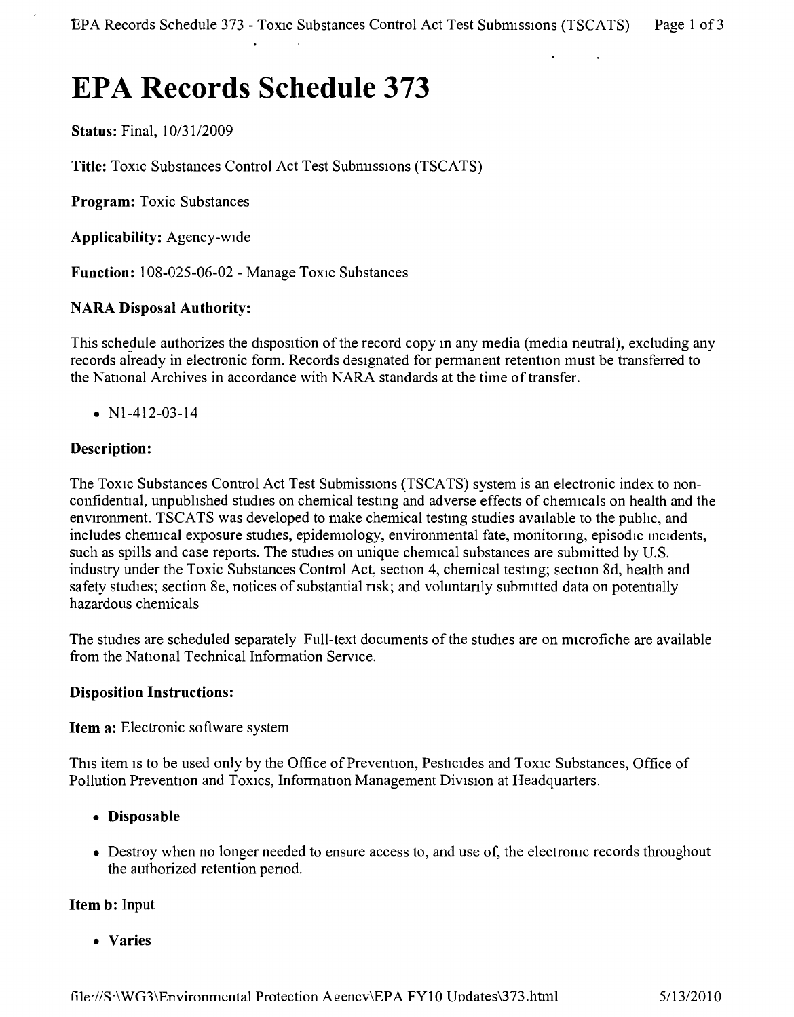# **EPA Records Schedule 373**

Status: Final, *10/3112009*

Title: Toxic Substances Control Act Test Submissions (TSCATS)

Program: Toxic Substances

Applicability: Agency-wide

Function: 108-025-06-02 - Manage Toxic Substances

## NARA Disposal Authority:

This schedule authorizes the disposition of the record copy m any media (media neutral), excluding any records already in electronic form. Records designated for permanent retention must be transferred to the National Archives in accordance with NARA standards at the time of transfer.

•  $N1-412-03-14$ 

# Description:

The Toxic Substances Control Act Test Submissions (TSCATS) system is an electronic index to nonconfidential, unpubhshed studies on chemical testmg and adverse effects of chemicals on health and the environment. TSCATS was developed to make chemical testmg studies available to the pubhc, and includes chemical exposure studies, epidemiology, environmental fate, monitonng, episodic incidents, such as spills and case reports. The studies on unique chemical substances are submitted by U.S. industry under the Toxic Substances Control Act, section 4, chemical testmg; section 8d, health and safety studies; section 8e, notices of substantial risk; and voluntarily submitted data on potentially hazardous chemicals

The studies are scheduled separately Full-text documents of the studies are on microfiche are available from the National Technical Information Service,

#### Disposition Instructions:

Item a: Electronic software system

This item is to be used only by the Office of Prevention, Pesticides and Toxic Substances, Office of Pollution Prevention and Toxics, Information Management Division at Headquarters.

- • Disposable
- Destroy when no longer needed to ensure access to, and use of, the electronic records throughout the authorized retention penod.

## Item b: Input

• Varies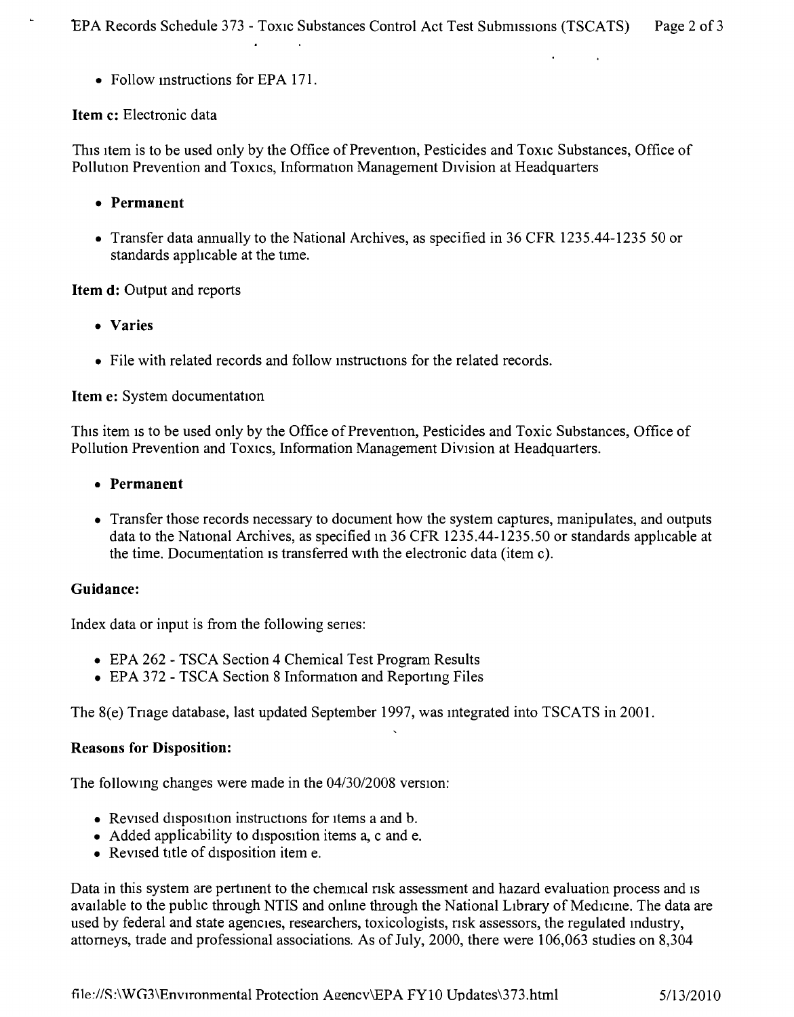• Follow instructions for EPA 171.

 $\mathbf{r}$ 

 $\sim 10^{11}$ 

#### Item c: Electronic data

This Item is to be used only by the Office of Prevention, Pesticides and Toxic Substances, Office of Pollution Prevention and TOXICS,Information Management Division at Headquarters

- • Permanent
- Transfer data annually to the National Archives, as specified in 36 CFR 1235.44-1235 50 or standards applicable at the time.

#### Item d: Output and reports

- • Varies
- File with related records and follow instructions for the related records.

#### Item e: System documentation

This item is to be used only by the Office of Prevention, Pesticides and Toxic Substances, Office of Pollution Prevention and Toxics, Information Management Division at Headquarters.

- • Permanent
- Transfer those records necessary to document how the system captures, manipulates, and outputs data to the National Archives, as specified In 36 CFR 1235.44-1235.50 or standards applicable at the time. Documentation is transferred with the electronic data (item c).

#### Guidance:

Index data or input is from the following senes:

- EPA 262 TSCA Section 4 Chemical Test Program Results
- EPA 372 TSCA Section 8 Information and Reporting Files

The 8(e) Trage database, last updated September 1997, was integrated into TSCATS in 2001.

#### Reasons for Disposition:

The followmg changes were made in the *04/3012008* version:

- Revised disposition instructions for items a and b.
- Added applicability to disposition items a, c and e.
- Revised title of disposition item e.

Data in this system are pertment to the chemical risk assessment and hazard evaluation process and is available to the pubhc through NTIS and onlme through the National LIbrary of Medicine. The data are used by federal and state agencies, researchers, toxicologists, nsk assessors, the regulated mdustry, attorneys, trade and professional associations. As of July, 2000, there were 106,063 studies on 8,304